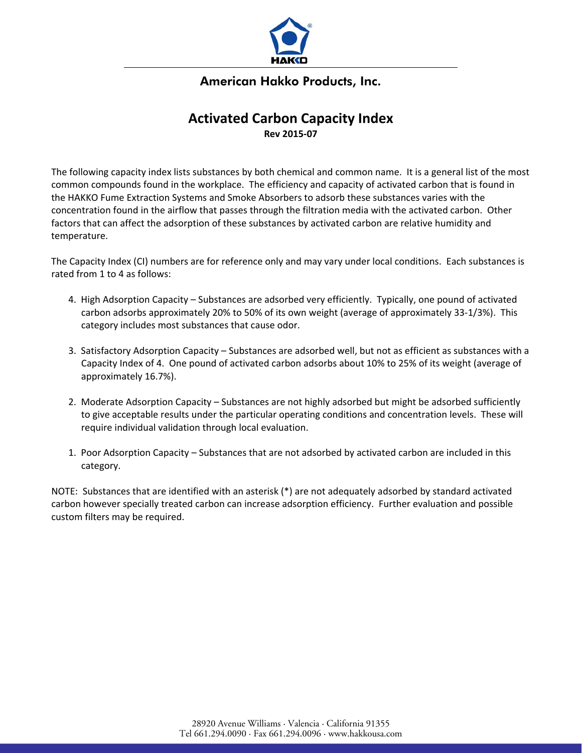

### American Hakko Products, Inc.

## **Activated Carbon Capacity Index Rev 2015‐07**

The following capacity index lists substances by both chemical and common name. It is a general list of the most common compounds found in the workplace. The efficiency and capacity of activated carbon that is found in the HAKKO Fume Extraction Systems and Smoke Absorbers to adsorb these substances varies with the concentration found in the airflow that passes through the filtration media with the activated carbon. Other factors that can affect the adsorption of these substances by activated carbon are relative humidity and temperature.

The Capacity Index (CI) numbers are for reference only and may vary under local conditions. Each substances is rated from 1 to 4 as follows:

- 4. High Adsorption Capacity Substances are adsorbed very efficiently. Typically, one pound of activated carbon adsorbs approximately 20% to 50% of its own weight (average of approximately 33‐1/3%). This category includes most substances that cause odor.
- 3. Satisfactory Adsorption Capacity Substances are adsorbed well, but not as efficient as substances with a Capacity Index of 4. One pound of activated carbon adsorbs about 10% to 25% of its weight (average of approximately 16.7%).
- 2. Moderate Adsorption Capacity Substances are not highly adsorbed but might be adsorbed sufficiently to give acceptable results under the particular operating conditions and concentration levels. These will require individual validation through local evaluation.
- 1. Poor Adsorption Capacity Substances that are not adsorbed by activated carbon are included in this category.

NOTE: Substances that are identified with an asterisk (\*) are not adequately adsorbed by standard activated carbon however specially treated carbon can increase adsorption efficiency. Further evaluation and possible custom filters may be required.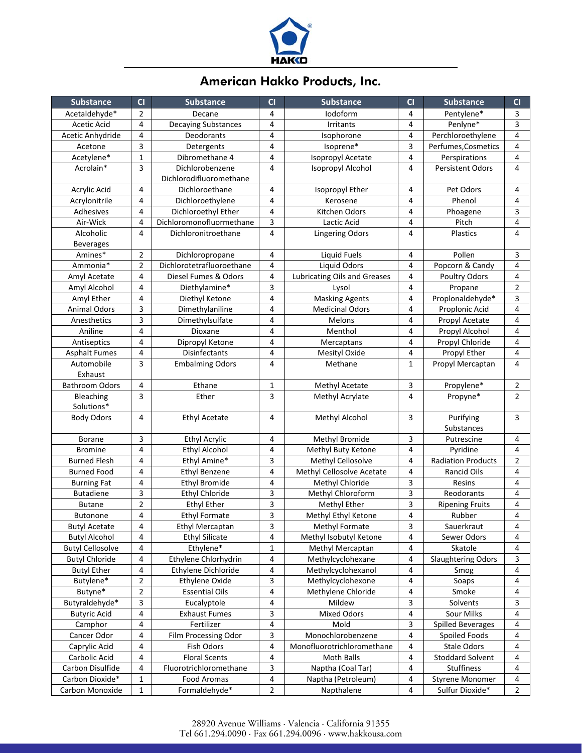

# American Hakko Products, Inc.

| <b>Substance</b>                    | CI                      | <b>Substance</b>           | CI                      | <b>Substance</b>                    | CI             | <b>Substance</b>                   | CI             |
|-------------------------------------|-------------------------|----------------------------|-------------------------|-------------------------------------|----------------|------------------------------------|----------------|
| Acetaldehyde*                       | $\overline{2}$          | Decane                     | 4                       | lodoform                            | 4              | Pentylene*                         | 3              |
| Acetic Acid                         | 4                       | <b>Decaying Substances</b> | 4                       | Irritants                           | 4              | Penlyne*                           | 3              |
| Acetic Anhydride                    | 4                       | Deodorants                 | 4                       | Isophorone                          | 4              | Perchloroethylene                  | $\overline{4}$ |
| Acetone                             | 3                       | Detergents                 | $\overline{4}$          | Isoprene*                           | 3              | Perfumes, Cosmetics                | 4              |
| Acetylene*                          | $\mathbf 1$             | Dibromethane 4             | 4                       | Isopropyl Acetate                   | 4              | Perspirations                      | 4              |
| Acrolain*                           | 3                       | Dichlorobenzene            | $\overline{4}$          | Isopropyl Alcohol                   | 4              | <b>Persistent Odors</b>            | $\overline{4}$ |
|                                     |                         | Dichlorodifluoromethane    |                         |                                     |                |                                    |                |
| Acrylic Acid                        | 4                       | Dichloroethane             | 4                       | Isopropyl Ether                     | 4              | Pet Odors                          | 4              |
| Acrylonitrile                       | $\overline{4}$          | Dichloroethylene           | $\overline{4}$          | Kerosene                            | 4              | Phenol                             | $\overline{4}$ |
| Adhesives                           | $\overline{4}$          | Dichloroethyl Ether        | 4                       | Kitchen Odors                       | 4              | Phoagene                           | 3              |
| Air-Wick                            | 4                       | Dichloromonofluormethane   | 3                       | Lactic Acid                         | 4              | Pitch                              | 4              |
| Alcoholic                           | 4                       | Dichloronitroethane        | $\overline{4}$          | <b>Lingering Odors</b>              | 4              | Plastics                           | 4              |
| <b>Beverages</b>                    |                         |                            |                         |                                     |                |                                    |                |
| Amines*                             | $\overline{2}$          | Dichloropropane            | 4                       | <b>Liquid Fuels</b>                 | 4              | Pollen                             | 3              |
| Ammonia*                            | $\overline{2}$          | Dichlorotetrafluoroethane  | 4                       | <b>Liquid Odors</b>                 | 4              | Popcorn & Candy                    | 4              |
| Amyl Acetate                        | 4                       | Diesel Fumes & Odors       | $\overline{4}$          | <b>Lubricating Oils and Greases</b> | 4              | Poultry Odors                      | 4              |
| Amyl Alcohol                        | 4                       | Diethylamine*              | 3                       | Lysol                               | 4              | Propane                            | $\overline{2}$ |
| Amyl Ether                          | $\overline{\mathbf{4}}$ | Diethyl Ketone             | 4                       | <b>Masking Agents</b>               | 4              | Proplonaldehyde*                   | 3              |
| <b>Animal Odors</b>                 | 3                       | Dimethylaniline            | $\overline{4}$          | <b>Medicinal Odors</b>              | 4              | Proplonic Acid                     | $\overline{4}$ |
| Anesthetics                         | 3                       | Dimethylsulfate            | $\overline{\mathbf{4}}$ | Melons                              | 4              | Propyl Acetate                     | $\overline{4}$ |
| Aniline                             | $\overline{4}$          | Dioxane                    | 4                       | Menthol                             | 4              | Propyl Alcohol                     | 4              |
| Antiseptics                         | 4                       | Dipropyl Ketone            | 4                       | Mercaptans                          | 4              | Propyl Chloride                    | $\overline{4}$ |
| <b>Asphalt Fumes</b>                | 4                       | <b>Disinfectants</b>       | 4                       | Mesityl Oxide                       | 4              | Propyl Ether                       | 4              |
| Automobile                          | 3                       | <b>Embalming Odors</b>     | 4                       | Methane                             | $\mathbf{1}$   | Propyl Mercaptan                   | 4              |
| Exhaust                             |                         |                            |                         |                                     |                |                                    |                |
| <b>Bathroom Odors</b>               | 4                       | Ethane                     | $\mathbf{1}$            | Methyl Acetate                      | 3              | Propylene*                         | $\overline{2}$ |
| Bleaching                           | 3                       | Ether                      | 3                       | Methyl Acrylate                     | $\overline{4}$ | Propyne*                           | $\overline{2}$ |
| Solutions*                          |                         |                            |                         |                                     |                |                                    |                |
| <b>Body Odors</b>                   | 4                       | <b>Ethyl Acetate</b>       | $\overline{4}$          | Methyl Alcohol                      | 3              | Purifying                          | 3              |
|                                     |                         |                            |                         |                                     |                | Substances                         |                |
| <b>Borane</b>                       | 3                       | <b>Ethyl Acrylic</b>       | 4                       | Methyl Bromide                      | 3              | Putrescine                         | 4              |
| <b>Bromine</b>                      | 4                       | <b>Ethyl Alcohol</b>       | 4                       | Methyl Buty Ketone                  | 4              | Pyridine                           | 4              |
| <b>Burned Flesh</b>                 | 4                       | Ethyl Amine*               | 3                       | Methyl Cellosolve                   | 4              | <b>Radiation Products</b>          | $\overline{2}$ |
| <b>Burned Food</b>                  | 4                       | <b>Ethyl Benzene</b>       | $\overline{4}$          | Methyl Cellosolve Acetate           | 4              | Rancid Oils                        | 4              |
| <b>Burning Fat</b>                  | 4                       | <b>Ethyl Bromide</b>       | 4                       | Methyl Chloride                     | 3              | Resins                             | 4              |
| <b>Butadiene</b>                    | 3                       | <b>Ethyl Chloride</b>      | 3                       | Methyl Chloroform                   | 3              | Reodorants                         | $\overline{4}$ |
| <b>Butane</b>                       | $\overline{2}$          | <b>Ethyl Ether</b>         | 3                       | Methyl Ether                        | 3              | <b>Ripening Fruits</b>             | 4              |
| <b>Butonone</b>                     | 4                       | <b>Ethyl Formate</b>       | 3                       | Methyl Ethyl Ketone                 | 4              | Rubber                             | 4              |
| <b>Butyl Acetate</b>                | 4                       | Ethyl Mercaptan            | 3                       | Methyl Formate                      | 3              | Sauerkraut                         | 4              |
| <b>Butyl Alcohol</b>                | 4                       | <b>Ethyl Silicate</b>      | 4                       | Methyl Isobutyl Ketone              | 4              | Sewer Odors                        | 4              |
| <b>Butyl Cellosolve</b>             | $\pmb{4}$               | Ethylene*                  | $\mathbf{1}$            | Methyl Mercaptan                    | 4              | Skatole                            | 4              |
| <b>Butyl Chloride</b>               | 4                       | Ethylene Chlorhydrin       | 4                       | Methylcyclohexane                   | 4              | <b>Slaughtering Odors</b>          | 3              |
| <b>Butyl Ether</b>                  | $\overline{4}$          | Ethylene Dichloride        | 4                       | Methylcyclohexanol                  | 4              | Smog                               | 4              |
| Butylene*                           | $\overline{2}$          | Ethylene Oxide             | 3                       | Methylcyclohexone                   | 4              | Soaps                              | 4              |
| Butyne*                             | $\mathbf{2}$            | <b>Essential Oils</b>      | 4                       | Methylene Chloride                  | 4              | Smoke                              | 4              |
| Butyraldehyde*                      | 3                       | Eucalyptole                | 4                       | Mildew                              | 3              | Solvents                           | 3              |
| <b>Butyric Acid</b>                 | 4                       | <b>Exhaust Fumes</b>       | 3                       | <b>Mixed Odors</b>                  | 4              | Sour Milks                         | 4              |
| Camphor                             | 4                       | Fertilizer                 | 4                       | Mold                                | 3              | <b>Spilled Beverages</b>           | 4              |
| Cancer Odor                         | 4                       | Film Processing Odor       | 3                       | Monochlorobenzene                   | 4              | Spoiled Foods                      | 4              |
| Caprylic Acid                       | 4                       | Fish Odors                 | 4                       | Monofluorotrichloromethane          | 4              | Stale Odors                        | 4              |
| Carbolic Acid                       | 4                       | <b>Floral Scents</b>       | 4                       | Moth Balls                          | 4              | <b>Stoddard Solvent</b>            | 4              |
| Carbon Disulfide<br>Carbon Dioxide* | 4                       | Fluorotrichloromethane     | 3                       | Naptha (Coal Tar)                   | 4              | Stuffiness                         | 4              |
| Carbon Monoxide                     | $\mathbf{1}$            | Food Aromas                | 4                       | Naptha (Petroleum)                  | 4              | Styrene Monomer<br>Sulfur Dioxide* | 4              |
|                                     | $\mathbf{1}$            | Formaldehyde*              | $\mathbf{2}$            | Napthalene                          | 4              |                                    | $\overline{2}$ |